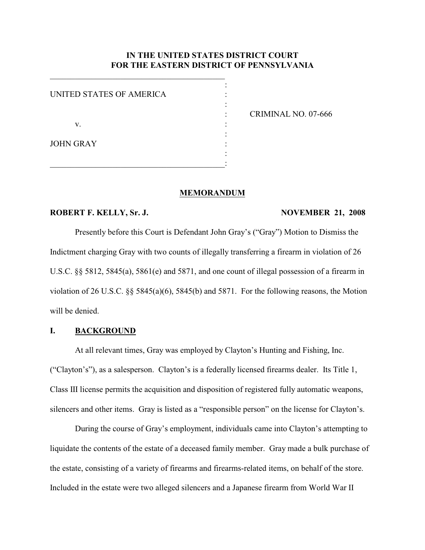# **IN THE UNITED STATES DISTRICT COURT FOR THE EASTERN DISTRICT OF PENNSYLVANIA**

| UNITED STATES OF AMERICA |  |
|--------------------------|--|
|                          |  |
|                          |  |
| V.                       |  |
|                          |  |
| <b>JOHN GRAY</b>         |  |
|                          |  |
|                          |  |

 $\mathcal{L}_\mathcal{L}$  , which is a set of the set of the set of the set of the set of the set of the set of the set of the set of the set of the set of the set of the set of the set of the set of the set of the set of the set of

: CRIMINAL NO. 07-666

#### **MEMORANDUM**

#### **ROBERT F. KELLY, Sr. J. NOVEMBER 21, 2008**

Presently before this Court is Defendant John Gray's ("Gray") Motion to Dismiss the Indictment charging Gray with two counts of illegally transferring a firearm in violation of 26 U.S.C. §§ 5812, 5845(a), 5861(e) and 5871, and one count of illegal possession of a firearm in violation of 26 U.S.C. §§ 5845(a)(6), 5845(b) and 5871. For the following reasons, the Motion will be denied.

## **I. BACKGROUND**

At all relevant times, Gray was employed by Clayton's Hunting and Fishing, Inc. ("Clayton's"), as a salesperson. Clayton's is a federally licensed firearms dealer. Its Title 1, Class III license permits the acquisition and disposition of registered fully automatic weapons, silencers and other items. Gray is listed as a "responsible person" on the license for Clayton's.

During the course of Gray's employment, individuals came into Clayton's attempting to liquidate the contents of the estate of a deceased family member. Gray made a bulk purchase of the estate, consisting of a variety of firearms and firearms-related items, on behalf of the store. Included in the estate were two alleged silencers and a Japanese firearm from World War II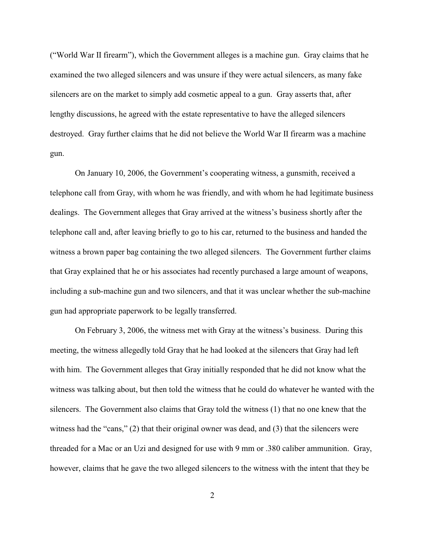("World War II firearm"), which the Government alleges is a machine gun. Gray claims that he examined the two alleged silencers and was unsure if they were actual silencers, as many fake silencers are on the market to simply add cosmetic appeal to a gun. Gray asserts that, after lengthy discussions, he agreed with the estate representative to have the alleged silencers destroyed. Gray further claims that he did not believe the World War II firearm was a machine gun.

On January 10, 2006, the Government's cooperating witness, a gunsmith, received a telephone call from Gray, with whom he was friendly, and with whom he had legitimate business dealings. The Government alleges that Gray arrived at the witness's business shortly after the telephone call and, after leaving briefly to go to his car, returned to the business and handed the witness a brown paper bag containing the two alleged silencers. The Government further claims that Gray explained that he or his associates had recently purchased a large amount of weapons, including a sub-machine gun and two silencers, and that it was unclear whether the sub-machine gun had appropriate paperwork to be legally transferred.

On February 3, 2006, the witness met with Gray at the witness's business. During this meeting, the witness allegedly told Gray that he had looked at the silencers that Gray had left with him. The Government alleges that Gray initially responded that he did not know what the witness was talking about, but then told the witness that he could do whatever he wanted with the silencers. The Government also claims that Gray told the witness (1) that no one knew that the witness had the "cans," (2) that their original owner was dead, and (3) that the silencers were threaded for a Mac or an Uzi and designed for use with 9 mm or .380 caliber ammunition. Gray, however, claims that he gave the two alleged silencers to the witness with the intent that they be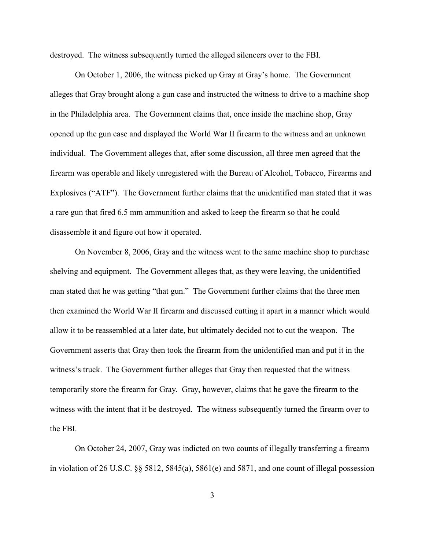destroyed. The witness subsequently turned the alleged silencers over to the FBI.

On October 1, 2006, the witness picked up Gray at Gray's home. The Government alleges that Gray brought along a gun case and instructed the witness to drive to a machine shop in the Philadelphia area. The Government claims that, once inside the machine shop, Gray opened up the gun case and displayed the World War II firearm to the witness and an unknown individual. The Government alleges that, after some discussion, all three men agreed that the firearm was operable and likely unregistered with the Bureau of Alcohol, Tobacco, Firearms and Explosives ("ATF"). The Government further claims that the unidentified man stated that it was a rare gun that fired 6.5 mm ammunition and asked to keep the firearm so that he could disassemble it and figure out how it operated.

On November 8, 2006, Gray and the witness went to the same machine shop to purchase shelving and equipment. The Government alleges that, as they were leaving, the unidentified man stated that he was getting "that gun." The Government further claims that the three men then examined the World War II firearm and discussed cutting it apart in a manner which would allow it to be reassembled at a later date, but ultimately decided not to cut the weapon. The Government asserts that Gray then took the firearm from the unidentified man and put it in the witness's truck. The Government further alleges that Gray then requested that the witness temporarily store the firearm for Gray. Gray, however, claims that he gave the firearm to the witness with the intent that it be destroyed. The witness subsequently turned the firearm over to the FBI.

On October 24, 2007, Gray was indicted on two counts of illegally transferring a firearm in violation of 26 U.S.C. §§ 5812, 5845(a), 5861(e) and 5871, and one count of illegal possession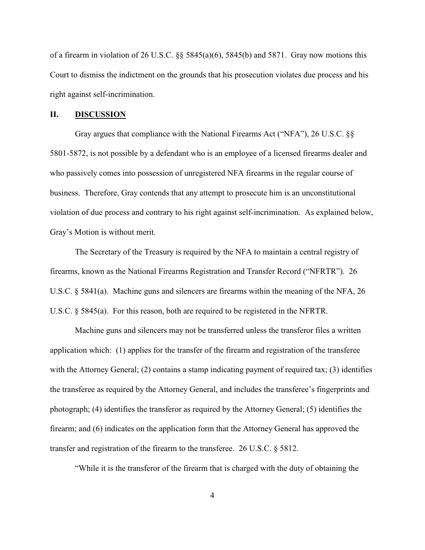of a firearm in violation of 26 U.S.C. §§ 5845(a)(6), 5845(b) and 5871. Gray now motions this Court to dismiss the indictment on the grounds that his prosecution violates due process and his right against self-incrimination.

#### **II. DISCUSSION**

Gray argues that compliance with the National Firearms Act ("NFA"), 26 U.S.C. §§ 5801-5872, is not possible by a defendant who is an employee of a licensed firearms dealer and who passively comes into possession of unregistered NFA firearms in the regular course of business. Therefore, Gray contends that any attempt to prosecute him is an unconstitutional violation of due process and contrary to his right against self-incrimination. As explained below, Gray's Motion is without merit.

The Secretary of the Treasury is required by the NFA to maintain a central registry of firearms, known as the National Firearms Registration and Transfer Record ("NFRTR"). 26 U.S.C. § 5841(a). Machine guns and silencers are firearms within the meaning of the NFA, 26 U.S.C. § 5845(a). For this reason, both are required to be registered in the NFRTR.

Machine guns and silencers may not be transferred unless the transferor files a written application which: (1) applies for the transfer of the firearm and registration of the transferee with the Attorney General; (2) contains a stamp indicating payment of required tax; (3) identifies the transferee as required by the Attorney General, and includes the transferee's fingerprints and photograph; (4) identifies the transferor as required by the Attorney General; (5) identifies the firearm; and (6) indicates on the application form that the Attorney General has approved the transfer and registration of the firearm to the transferee. 26 U.S.C. § 5812.

"While it is the transferor of the firearm that is charged with the duty of obtaining the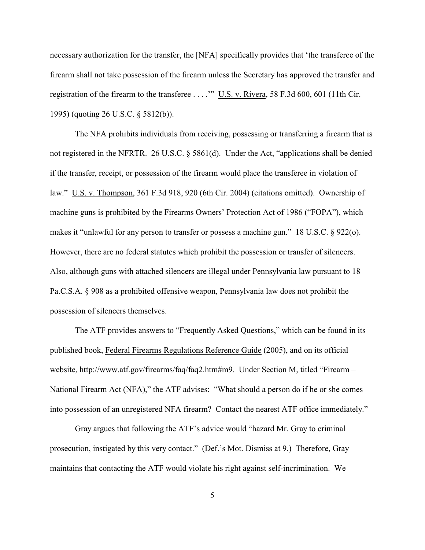necessary authorization for the transfer, the [NFA] specifically provides that 'the transferee of the firearm shall not take possession of the firearm unless the Secretary has approved the transfer and registration of the firearm to the transferee . . . ." U.S. v. Rivera, 58 F.3d 600, 601 (11th Cir. 1995) (quoting 26 U.S.C. § 5812(b)).

The NFA prohibits individuals from receiving, possessing or transferring a firearm that is not registered in the NFRTR. 26 U.S.C. § 5861(d). Under the Act, "applications shall be denied if the transfer, receipt, or possession of the firearm would place the transferee in violation of law." U.S. v. Thompson, 361 F.3d 918, 920 (6th Cir. 2004) (citations omitted). Ownership of machine guns is prohibited by the Firearms Owners' Protection Act of 1986 ("FOPA"), which makes it "unlawful for any person to transfer or possess a machine gun." 18 U.S.C. § 922(o). However, there are no federal statutes which prohibit the possession or transfer of silencers. Also, although guns with attached silencers are illegal under Pennsylvania law pursuant to 18 Pa.C.S.A. § 908 as a prohibited offensive weapon, Pennsylvania law does not prohibit the possession of silencers themselves.

The ATF provides answers to "Frequently Asked Questions," which can be found in its published book, Federal Firearms Regulations Reference Guide (2005), and on its official website, http://www.atf.gov/firearms/faq/faq2.htm#m9. Under Section M, titled "Firearm – National Firearm Act (NFA)," the ATF advises: "What should a person do if he or she comes into possession of an unregistered NFA firearm? Contact the nearest ATF office immediately."

Gray argues that following the ATF's advice would "hazard Mr. Gray to criminal prosecution, instigated by this very contact." (Def.'s Mot. Dismiss at 9.) Therefore, Gray maintains that contacting the ATF would violate his right against self-incrimination. We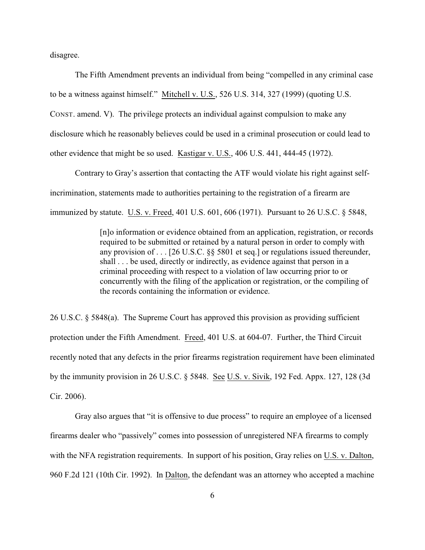disagree.

The Fifth Amendment prevents an individual from being "compelled in any criminal case to be a witness against himself." Mitchell v. U.S., 526 U.S. 314, 327 (1999) (quoting U.S. CONST. amend. V). The privilege protects an individual against compulsion to make any disclosure which he reasonably believes could be used in a criminal prosecution or could lead to other evidence that might be so used. Kastigar v. U.S., 406 U.S. 441, 444-45 (1972).

Contrary to Gray's assertion that contacting the ATF would violate his right against selfincrimination, statements made to authorities pertaining to the registration of a firearm are immunized by statute. U.S. v. Freed, 401 U.S. 601, 606 (1971). Pursuant to 26 U.S.C. § 5848,

> [n]o information or evidence obtained from an application, registration, or records required to be submitted or retained by a natural person in order to comply with any provision of . . . [26 U.S.C. §§ 5801 et seq.] or regulations issued thereunder, shall . . . be used, directly or indirectly, as evidence against that person in a criminal proceeding with respect to a violation of law occurring prior to or concurrently with the filing of the application or registration, or the compiling of the records containing the information or evidence.

26 U.S.C. § 5848(a). The Supreme Court has approved this provision as providing sufficient protection under the Fifth Amendment. Freed, 401 U.S. at 604-07. Further, the Third Circuit recently noted that any defects in the prior firearms registration requirement have been eliminated by the immunity provision in 26 U.S.C. § 5848. See U.S. v. Sivik, 192 Fed. Appx. 127, 128 (3d Cir. 2006).

Gray also argues that "it is offensive to due process" to require an employee of a licensed firearms dealer who "passively" comes into possession of unregistered NFA firearms to comply with the NFA registration requirements. In support of his position, Gray relies on U.S. v. Dalton, 960 F.2d 121 (10th Cir. 1992). In Dalton, the defendant was an attorney who accepted a machine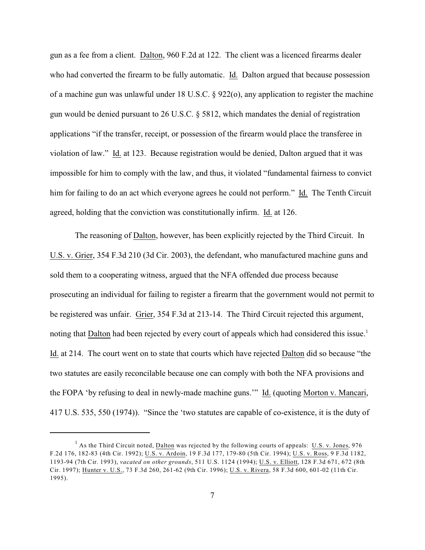gun as a fee from a client. Dalton, 960 F.2d at 122. The client was a licenced firearms dealer who had converted the firearm to be fully automatic. Id. Dalton argued that because possession of a machine gun was unlawful under 18 U.S.C.  $\S$  922(o), any application to register the machine gun would be denied pursuant to 26 U.S.C. § 5812, which mandates the denial of registration applications "if the transfer, receipt, or possession of the firearm would place the transferee in violation of law." Id. at 123. Because registration would be denied, Dalton argued that it was impossible for him to comply with the law, and thus, it violated "fundamental fairness to convict him for failing to do an act which everyone agrees he could not perform." Id. The Tenth Circuit agreed, holding that the conviction was constitutionally infirm. Id. at 126.

The reasoning of Dalton, however, has been explicitly rejected by the Third Circuit. In U.S. v. Grier, 354 F.3d 210 (3d Cir. 2003), the defendant, who manufactured machine guns and sold them to a cooperating witness, argued that the NFA offended due process because prosecuting an individual for failing to register a firearm that the government would not permit to be registered was unfair. Grier, 354 F.3d at 213-14. The Third Circuit rejected this argument, noting that Dalton had been rejected by every court of appeals which had considered this issue.<sup>1</sup> Id. at 214. The court went on to state that courts which have rejected Dalton did so because "the two statutes are easily reconcilable because one can comply with both the NFA provisions and the FOPA 'by refusing to deal in newly-made machine guns.'" Id. (quoting Morton v. Mancari, 417 U.S. 535, 550 (1974)). "Since the 'two statutes are capable of co-existence, it is the duty of

<sup>&</sup>lt;sup>1</sup> As the Third Circuit noted, Dalton was rejected by the following courts of appeals: U.S. v. Jones, 976 F.2d 176, 182-83 (4th Cir. 1992); U.S. v. Ardoin, 19 F.3d 177, 179-80 (5th Cir. 1994); U.S. v. Ross, 9 F.3d 1182, 1193-94 (7th Cir. 1993), *vacated on other grounds*, 511 U.S. 1124 (1994); U.S. v. Elliott, 128 F.3d 671, 672 (8th Cir. 1997); Hunter v. U.S., 73 F.3d 260, 261-62 (9th Cir. 1996); U.S. v. Rivera, 58 F.3d 600, 601-02 (11th Cir. 1995).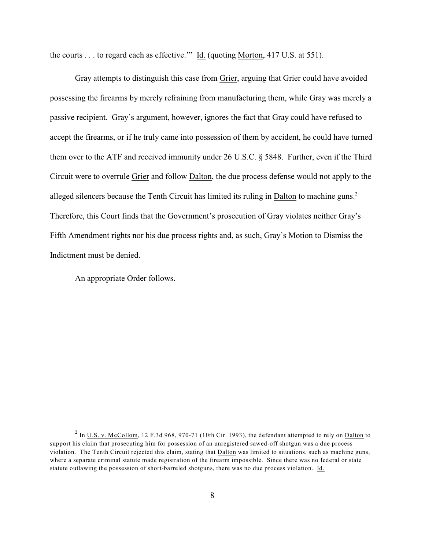the courts . . . to regard each as effective." Id. (quoting Morton, 417 U.S. at 551).

Gray attempts to distinguish this case from Grier, arguing that Grier could have avoided possessing the firearms by merely refraining from manufacturing them, while Gray was merely a passive recipient. Gray's argument, however, ignores the fact that Gray could have refused to accept the firearms, or if he truly came into possession of them by accident, he could have turned them over to the ATF and received immunity under 26 U.S.C. § 5848. Further, even if the Third Circuit were to overrule Grier and follow Dalton, the due process defense would not apply to the alleged silencers because the Tenth Circuit has limited its ruling in Dalton to machine guns.<sup>2</sup> Therefore, this Court finds that the Government's prosecution of Gray violates neither Gray's Fifth Amendment rights nor his due process rights and, as such, Gray's Motion to Dismiss the Indictment must be denied.

An appropriate Order follows.

 $<sup>2</sup>$  In U.S. v. McCollom, 12 F.3d 968, 970-71 (10th Cir. 1993), the defendant attempted to rely on Dalton to</sup> support his claim that prosecuting him for possession of an unregistered sawed-off shotgun was a due process violation. The Tenth Circuit rejected this claim, stating that Dalton was limited to situations, such as machine guns, where a separate criminal statute made registration of the firearm impossible. Since there was no federal or state statute outlawing the possession of short-barreled shotguns, there was no due process violation. Id.